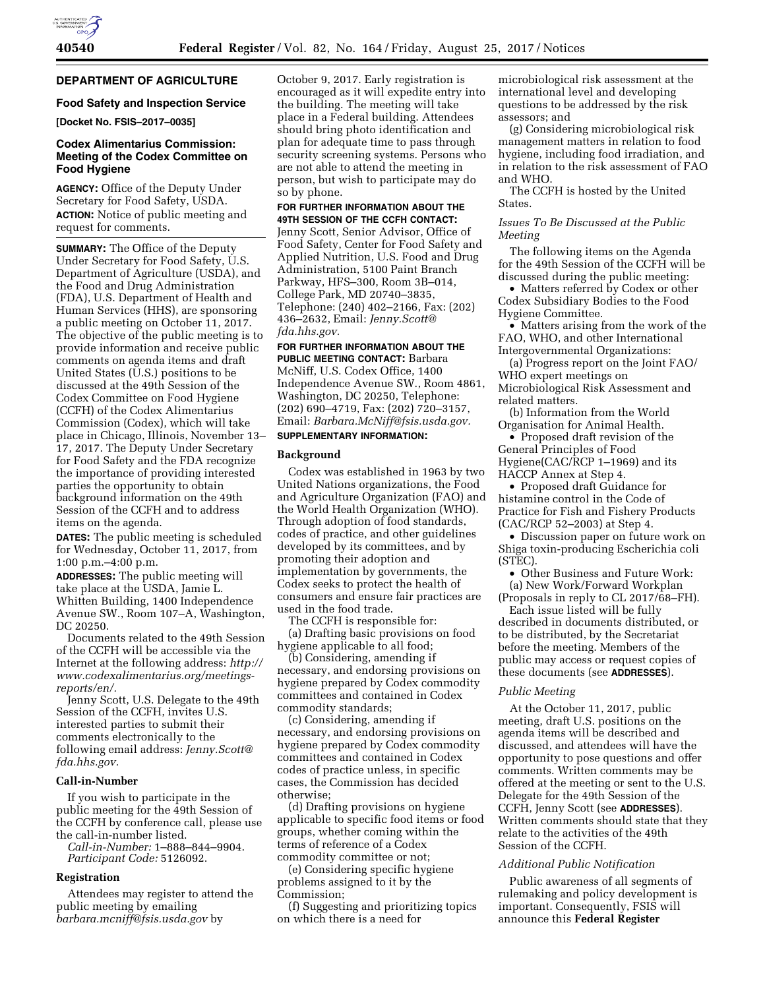# **DEPARTMENT OF AGRICULTURE**

### **Food Safety and Inspection Service**

**[Docket No. FSIS–2017–0035]** 

# **Codex Alimentarius Commission: Meeting of the Codex Committee on Food Hygiene**

**AGENCY:** Office of the Deputy Under Secretary for Food Safety, USDA. **ACTION:** Notice of public meeting and request for comments.

**SUMMARY:** The Office of the Deputy Under Secretary for Food Safety, U.S. Department of Agriculture (USDA), and the Food and Drug Administration (FDA), U.S. Department of Health and Human Services (HHS), are sponsoring a public meeting on October 11, 2017. The objective of the public meeting is to provide information and receive public comments on agenda items and draft United States (U.S.) positions to be discussed at the 49th Session of the Codex Committee on Food Hygiene (CCFH) of the Codex Alimentarius Commission (Codex), which will take place in Chicago, Illinois, November 13– 17, 2017. The Deputy Under Secretary for Food Safety and the FDA recognize the importance of providing interested parties the opportunity to obtain background information on the 49th Session of the CCFH and to address items on the agenda.

**DATES:** The public meeting is scheduled for Wednesday, October 11, 2017, from 1:00 p.m.–4:00 p.m.

**ADDRESSES:** The public meeting will take place at the USDA, Jamie L. Whitten Building, 1400 Independence Avenue SW., Room 107–A, Washington, DC 20250.

Documents related to the 49th Session of the CCFH will be accessible via the Internet at the following address: *[http://](http://www.codexalimentarius.org/meetings-reports/en/) [www.codexalimentarius.org/meetings](http://www.codexalimentarius.org/meetings-reports/en/)[reports/en/.](http://www.codexalimentarius.org/meetings-reports/en/)* 

Jenny Scott, U.S. Delegate to the 49th Session of the CCFH, invites U.S. interested parties to submit their comments electronically to the following email address: *[Jenny.Scott@](mailto:Jenny.Scott@fda.hhs.gov) [fda.hhs.gov.](mailto:Jenny.Scott@fda.hhs.gov)* 

### **Call-in-Number**

If you wish to participate in the public meeting for the 49th Session of the CCFH by conference call, please use the call-in-number listed.

*Call-in-Number:* 1–888–844–9904. *Participant Code:* 5126092.

# **Registration**

Attendees may register to attend the public meeting by emailing *[barbara.mcniff@fsis.usda.gov](mailto:barbara.mcniff@fsis.usda.gov)* by

October 9, 2017. Early registration is encouraged as it will expedite entry into the building. The meeting will take place in a Federal building. Attendees should bring photo identification and plan for adequate time to pass through security screening systems. Persons who are not able to attend the meeting in person, but wish to participate may do so by phone.

#### **FOR FURTHER INFORMATION ABOUT THE 49TH SESSION OF THE CCFH CONTACT:**

Jenny Scott, Senior Advisor, Office of Food Safety, Center for Food Safety and Applied Nutrition, U.S. Food and Drug Administration, 5100 Paint Branch Parkway, HFS–300, Room 3B–014, College Park, MD 20740–3835, Telephone: (240) 402–2166, Fax: (202) 436–2632, Email: *[Jenny.Scott@](mailto:Jenny.Scott@fda.hhs.gov) [fda.hhs.gov.](mailto:Jenny.Scott@fda.hhs.gov)* 

**FOR FURTHER INFORMATION ABOUT THE**

**PUBLIC MEETING CONTACT:** Barbara McNiff, U.S. Codex Office, 1400 Independence Avenue SW., Room 4861, Washington, DC 20250, Telephone: (202) 690–4719, Fax: (202) 720–3157, Email: *[Barbara.McNiff@fsis.usda.gov.](mailto:Barbara.McNiff@fsis.usda.gov)*  **SUPPLEMENTARY INFORMATION:** 

## **Background**

Codex was established in 1963 by two United Nations organizations, the Food and Agriculture Organization (FAO) and the World Health Organization (WHO). Through adoption of food standards, codes of practice, and other guidelines developed by its committees, and by promoting their adoption and implementation by governments, the Codex seeks to protect the health of consumers and ensure fair practices are used in the food trade.

The CCFH is responsible for: (a) Drafting basic provisions on food hygiene applicable to all food;

(b) Considering, amending if necessary, and endorsing provisions on hygiene prepared by Codex commodity committees and contained in Codex commodity standards;

(c) Considering, amending if necessary, and endorsing provisions on hygiene prepared by Codex commodity committees and contained in Codex codes of practice unless, in specific cases, the Commission has decided otherwise;

(d) Drafting provisions on hygiene applicable to specific food items or food groups, whether coming within the terms of reference of a Codex commodity committee or not;

(e) Considering specific hygiene problems assigned to it by the Commission;

(f) Suggesting and prioritizing topics on which there is a need for

microbiological risk assessment at the international level and developing questions to be addressed by the risk assessors; and

(g) Considering microbiological risk management matters in relation to food hygiene, including food irradiation, and in relation to the risk assessment of FAO and WHO.

The CCFH is hosted by the United States.

*Issues To Be Discussed at the Public Meeting* 

The following items on the Agenda for the 49th Session of the CCFH will be discussed during the public meeting:

• Matters referred by Codex or other Codex Subsidiary Bodies to the Food Hygiene Committee.

• Matters arising from the work of the FAO, WHO, and other International Intergovernmental Organizations:

(a) Progress report on the Joint FAO/ WHO expert meetings on Microbiological Risk Assessment and related matters.

(b) Information from the World Organisation for Animal Health.

• Proposed draft revision of the General Principles of Food Hygiene(CAC/RCP 1–1969) and its HACCP Annex at Step 4.

• Proposed draft Guidance for histamine control in the Code of Practice for Fish and Fishery Products (CAC/RCP 52–2003) at Step 4.

• Discussion paper on future work on Shiga toxin-producing Escherichia coli (STEC).

• Other Business and Future Work: (a) New Work/Forward Workplan

(Proposals in reply to CL 2017/68–FH). Each issue listed will be fully

described in documents distributed, or to be distributed, by the Secretariat before the meeting. Members of the public may access or request copies of these documents (see **ADDRESSES**).

### *Public Meeting*

At the October 11, 2017, public meeting, draft U.S. positions on the agenda items will be described and discussed, and attendees will have the opportunity to pose questions and offer comments. Written comments may be offered at the meeting or sent to the U.S. Delegate for the 49th Session of the CCFH, Jenny Scott (see **ADDRESSES**). Written comments should state that they relate to the activities of the 49th Session of the CCFH.

# *Additional Public Notification*

Public awareness of all segments of rulemaking and policy development is important. Consequently, FSIS will announce this **Federal Register**